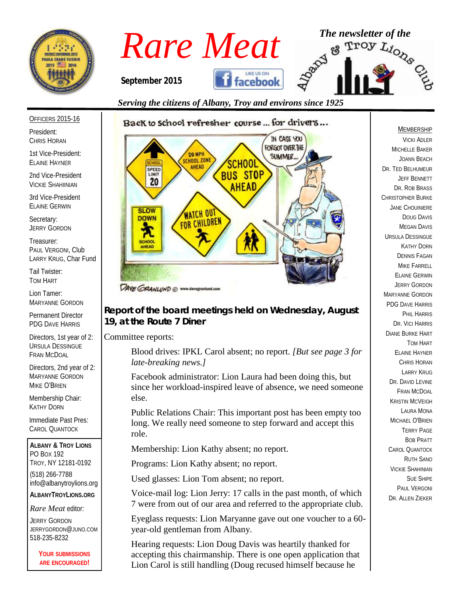



#### *Serving the citizens of Albany, Troy and environs since 1925*

# OFFICERS 2015-16

President: CHRIS HORAN

1st Vice-President: ELAINE HAYNER

2nd Vice-President VICKIE SHAHIINIAN

3rd Vice-President ELAINE GERWIN

Secretary: JERRY GORDON

Treasurer: PAUL VERGONI, Club LARRY KRUG, Char Fund

Tail Twister: TOM HART

Lion Tamer: MARYANNE GORDON

Permanent Director PDG DAVE HARRIS

Directors, 1st year of 2: URSULA DESSINGUE FRAN MCDOAL

Directors, 2nd year of 2: MARYANNE GORDON MIKE O'BRIEN

Membership Chair: KATHY DORN

Immediate Past Pres: CAROL QUANTOCK

**ALBANY & TROY LIONS** PO BOX 192 TROY, NY 12181-0192 (518) 266-7788 info@albanytroylions.org **ALBANYTROYLIONS.ORG**

*Rare Meat* editor:

JERRY GORDON JERRYGORDON@JUNO.COM 518-235-8232

> **YOUR SUBMISSIONS ARE ENCOURAGED!**

# Back to school refresher course ... for drivers...



*Report of the board meetings held on Wednesday, August 19, at the Route 7 Diner* 

Committee reports:

Blood drives: IPKL Carol absent; no report. *[But see page 3 for late-breaking news.]*

Facebook administrator: Lion Laura had been doing this, but since her workload-inspired leave of absence, we need someone else.

Public Relations Chair: This important post has been empty too long. We really need someone to step forward and accept this role.

Membership: Lion Kathy absent; no report.

Programs: Lion Kathy absent; no report.

Used glasses: Lion Tom absent; no report.

Voice-mail log: Lion Jerry: 17 calls in the past month, of which 7 were from out of our area and referred to the appropriate club.

Eyeglass requests: Lion Maryanne gave out one voucher to a 60 year-old gentleman from Albany.

Hearing requests: Lion Doug Davis was heartily thanked for accepting this chairmanship. There is one open application that Lion Carol is still handling (Doug recused himself because he

#### MEMBERSHIP

VICKI ADLER MICHELLE BAKER JOANN BEACH DR. TED BELHUMEUR JEFF BENNETT DR. ROB BRASS CHRISTOPHER BURKE JANE CHOUINIERE DOUG DAVIS MEGAN DAVIS URSULA DESSINGUE KATHY DORN DENNIS FAGAN MIKE FARRELL ELAINE GERWIN JERRY GORDON MARYANNE GORDON PDG DAVE HARRIS PHIL HARRIS DR. VICI HARRIS DIANE BURKE HART TOM HART ELAINE HAYNER CHRIS HORAN LARRY KRUG DR. DAVID EVINE FRAN MCDOAL KRISTIN MCVEIGH LAURA MONA MICHAEL O'BRIEN TERRY PAGE BOB PRATT CAROL QUANTOCK RUTH SANO VICKIE SHAHINIAN SUE SHIPE PAUL VERGONI DR. ALLEN ZIEKER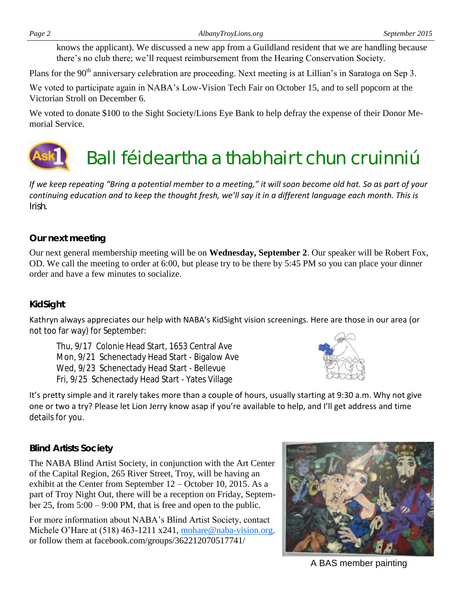knows the applicant). We discussed a new app from a Guildland resident that we are handling because there's no club there; we'll request reimbursement from the Hearing Conservation Society.

Plans for the 90<sup>th</sup> anniversary celebration are proceeding. Next meeting is at Lillian's in Saratoga on Sep 3.

We voted to participate again in NABA's Low-Vision Tech Fair on October 15, and to sell popcorn at the Victorian Stroll on December 6.

We voted to donate \$100 to the Sight Society/Lions Eye Bank to help defray the expense of their Donor Memorial Service.

# Ball féideartha a thabhairt chun cruinniú

*If we keep repeating "Bring a potential member to a meeting," it will soon become old hat. So as part of your continuing education and to keep the thought fresh, we'll say it in a different language each month. This is Irish.*

### *Our next meeting*

Our next general membership meeting will be on **Wednesday, September 2**. Our speaker will be Robert Fox, OD. We call the meeting to order at 6:00, but please try to be there by 5:45 PM so you can place your dinner order and have a few minutes to socialize.

#### *KidSight*

Kathryn always appreciates our help with NABA's KidSight vision screenings. Here are those in our area (or not too far way) for September:

Thu, 9/17 Colonie Head Start, 1653 Central Ave Mon, 9/21 Schenectady Head Start - Bigalow Ave Wed, 9/23 Schenectady Head Start - Bellevue Fri, 9/25 Schenectady Head Start - Yates Village



It's pretty simple and it rarely takes more than a couple of hours, usually starting at 9:30 a.m. Why not give one or two a try? Please let Lion Jerry know asap if you're available to help, and I'll get address and time details for you.

### *Blind Artists Society*

The NABA Blind Artist Society, in conjunction with the Art Center of the Capital Region, 265 River Street, Troy, will be having an exhibit at the Center from September 12 – October 10, 2015. As a part of Troy Night Out, there will be a reception on Friday, September 25, from 5:00 – 9:00 PM, that is free and open to the public.

For more information about NABA's Blind Artist Society, contact Michele O'Hare at (518) 463-1211 x241, mohare@naba-vision.org. or follow them at facebook.com/groups/362212070517741/



A BAS member painting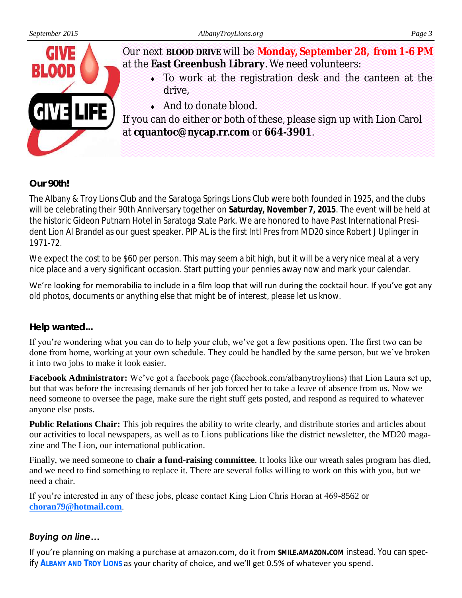

#### *Our 90th!*

The Albany & Troy Lions Club and the Saratoga Springs Lions Club were both founded in 1925, and the clubs will be celebrating their 90th Anniversary together on **Saturday, November 7, 2015**. The event will be held at the historic Gideon Putnam Hotel in Saratoga State Park. We are honored to have Past International President Lion Al Brandel as our guest speaker. PIP AL is the first Intl Pres from MD20 since Robert J Uplinger in 1971-72.

We expect the cost to be \$60 per person. This may seem a bit high, but it will be a very nice meal at a very nice place and a very significant occasion. Start putting your pennies away now and mark your calendar.

We're looking for memorabilia to include in a film loop that will run during the cocktail hour. If you've got any old photos, documents or anything else that might be of interest, please let us know.

#### *Help wanted...*

If you're wondering what you can do to help your club, we've got a few positions open. The first two can be done from home, working at your own schedule. They could be handled by the same person, but we've broken it into two jobs to make it look easier.

**Facebook Administrator:** We've got a facebook page (facebook.com/albanytroylions) that Lion Laura set up, but that was before the increasing demands of her job forced her to take a leave of absence from us. Now we need someone to oversee the page, make sure the right stuff gets posted, and respond as required to whatever anyone else posts.

**Public Relations Chair:** This job requires the ability to write clearly, and distribute stories and articles about our activities to local newspapers, as well as to Lions publications like the district newsletter, the MD20 magazine and The Lion, our international publication.

Finally, we need someone to **chair a fund-raising committee**. It looks like our wreath sales program has died, and we need to find something to replace it. There are several folks willing to work on this with you, but we need a chair.

If you're interested in any of these jobs, please contact King Lion Chris Horan at 469-8562 or **[choran79@hotmail.com](mailto:choran79@hotmail.com)**.

#### *Buying on line…*

If you're planning on making a purchase at amazon.com, do it from **SMILE.AMAZON.COM** instead. You can specify **ALBANY AND TROY LIONS** as your charity of choice, and we'll get 0.5% of whatever you spend.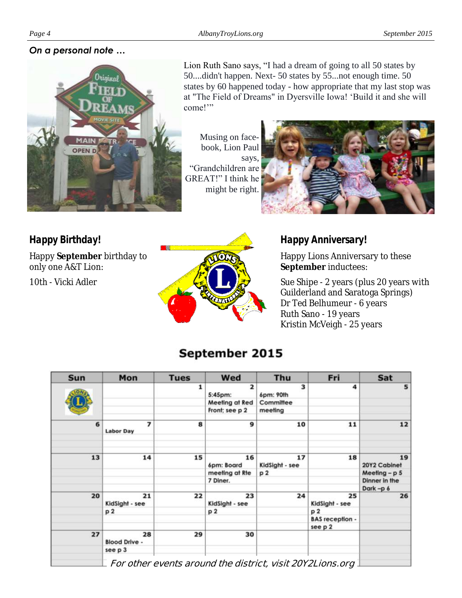#### *On a personal note …*



Lion Ruth Sano says, "I had a dream of going to all 50 states by 50....didn't happen. Next- 50 states by 55...not enough time. 50 states by 60 happened today - how appropriate that my last stop was at "The Field of Dreams" in Dyersville Iowa! 'Build it and she will come!'"

Musing on facebook, Lion Paul says, "Grandchildren are GREAT!" I think he might be right.



*Happy Birthday!* Happy **September** birthday to only one A&T Lion:

10th - Vicki Adler



*Happy Anniversary!*

Happy Lions Anniversary to these **September** inductees:

Sue Shipe - 2 years (plus 20 years with Guilderland and Saratoga Springs) Dr Ted Belhumeur - 6 years Ruth Sano - 19 years Kristin McVeigh - 25 years

# September 2015

| Sun | Mon                                                 | <b>Tues</b> | Wed                                | Thu                  | Fri                    | Sat                |
|-----|-----------------------------------------------------|-------------|------------------------------------|----------------------|------------------------|--------------------|
|     |                                                     | 1           | $\overline{\mathbf{z}}$<br>5:45pm: | 3<br>6pm: 90th       | 4                      | 5 <sup>1</sup>     |
|     |                                                     |             | Meeting at Red                     | Committee            |                        |                    |
|     |                                                     |             | Front; see p 2                     | meeting              |                        |                    |
| 6   | 7<br><b>Labor Day</b>                               | 8           | 9                                  | 10                   | 11                     | 12                 |
| 13  | 14                                                  | 15          | 16<br>6pm: Board                   | 17<br>KidSight - see | 18                     | 19<br>20Y2 Cabinet |
|     |                                                     |             | meeting at Rte                     | p2                   |                        | Meeting $- p 5 $   |
|     |                                                     |             | 7 Diner.                           |                      |                        | Dinner in the      |
|     |                                                     |             |                                    |                      |                        | Dark-p 6           |
| 20  | 21<br>KidSight - see                                | 22          | 23<br>KidSight - see               | 24                   | 25<br>KidSight - see   | 26                 |
|     | p <sub>2</sub>                                      |             | p2                                 |                      | p2                     |                    |
|     |                                                     |             |                                    |                      | <b>BAS</b> reception - |                    |
|     |                                                     |             |                                    |                      | see p 2                |                    |
| 27  | 28<br><b>Blood Drive -</b>                          | 29          | 30                                 |                      |                        |                    |
|     | see p 3                                             |             |                                    |                      |                        |                    |
|     | al ile a al'aissaich calair AAVAL :<br>$F - r - 4L$ |             |                                    |                      |                        |                    |

**For other events around the district, visit 20Y2Lions.org**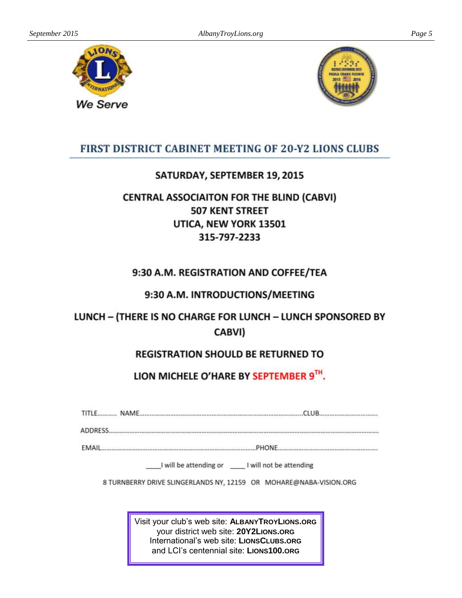

We Serve



#### FIRST DISTRICT CABINET MEETING OF 20-Y2 LIONS CLUBS

#### SATURDAY, SEPTEMBER 19, 2015

# **CENTRAL ASSOCIAITON FOR THE BLIND (CABVI) 507 KENT STREET** UTICA, NEW YORK 13501 315-797-2233

### 9:30 A.M. REGISTRATION AND COFFEE/TEA

#### 9:30 A.M. INTRODUCTIONS/MEETING

# LUNCH - (THERE IS NO CHARGE FOR LUNCH - LUNCH SPONSORED BY CABVI)

### **REGISTRATION SHOULD BE RETURNED TO**

### LION MICHELE O'HARE BY SEPTEMBER 9TH.

| <b>AD</b> |  |
|-----------|--|

**EMAIL**.......................

\_\_\_I will be attending or \_\_\_\_\_ I will not be attending

8 TURNBERRY DRIVE SLINGERLANDS NY, 12159 OR MOHARE@NABA-VISION.ORG

Visit your club's web site: ALBANYTROYLIONS.ORG your district web site: 20Y2LIONS.ORG International's web site: LIONSCLUBS.ORG and LCI's centennial site: LIONS100.ORG